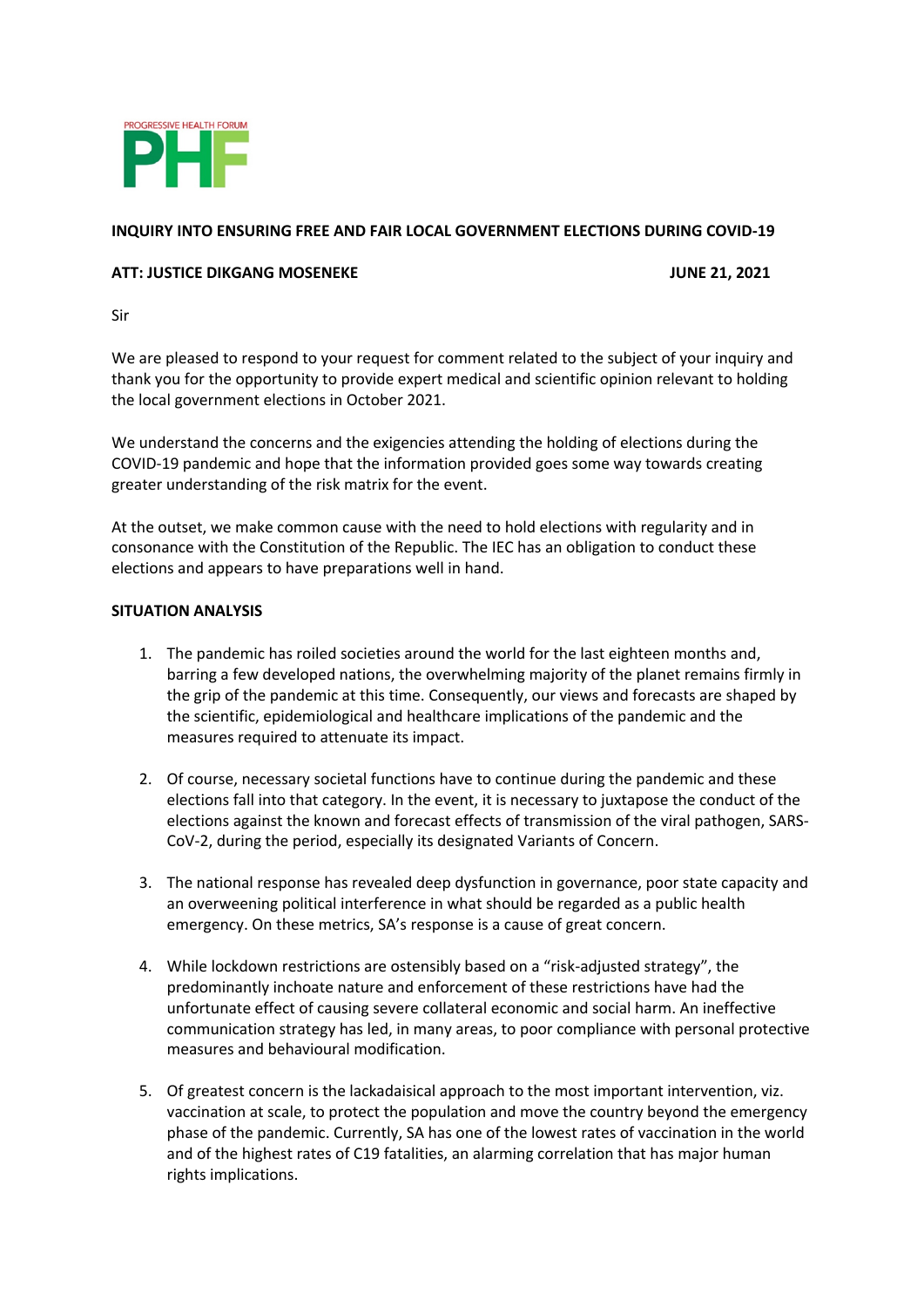

# **INQUIRY INTO ENSURING FREE AND FAIR LOCAL GOVERNMENT ELECTIONS DURING COVID-19**

## **ATT: JUSTICE DIKGANG MOSENEKE JUNE 21, 2021**

Sir

We are pleased to respond to your request for comment related to the subject of your inquiry and thank you for the opportunity to provide expert medical and scientific opinion relevant to holding the local government elections in October 2021.

We understand the concerns and the exigencies attending the holding of elections during the COVID-19 pandemic and hope that the information provided goes some way towards creating greater understanding of the risk matrix for the event.

At the outset, we make common cause with the need to hold elections with regularity and in consonance with the Constitution of the Republic. The IEC has an obligation to conduct these elections and appears to have preparations well in hand.

#### **SITUATION ANALYSIS**

- 1. The pandemic has roiled societies around the world for the last eighteen months and, barring a few developed nations, the overwhelming majority of the planet remains firmly in the grip of the pandemic at this time. Consequently, our views and forecasts are shaped by the scientific, epidemiological and healthcare implications of the pandemic and the measures required to attenuate its impact.
- 2. Of course, necessary societal functions have to continue during the pandemic and these elections fall into that category. In the event, it is necessary to juxtapose the conduct of the elections against the known and forecast effects of transmission of the viral pathogen, SARS-CoV-2, during the period, especially its designated Variants of Concern.
- 3. The national response has revealed deep dysfunction in governance, poor state capacity and an overweening political interference in what should be regarded as a public health emergency. On these metrics, SA's response is a cause of great concern.
- 4. While lockdown restrictions are ostensibly based on a "risk-adjusted strategy", the predominantly inchoate nature and enforcement of these restrictions have had the unfortunate effect of causing severe collateral economic and social harm. An ineffective communication strategy has led, in many areas, to poor compliance with personal protective measures and behavioural modification.
- 5. Of greatest concern is the lackadaisical approach to the most important intervention, viz. vaccination at scale, to protect the population and move the country beyond the emergency phase of the pandemic. Currently, SA has one of the lowest rates of vaccination in the world and of the highest rates of C19 fatalities, an alarming correlation that has major human rights implications.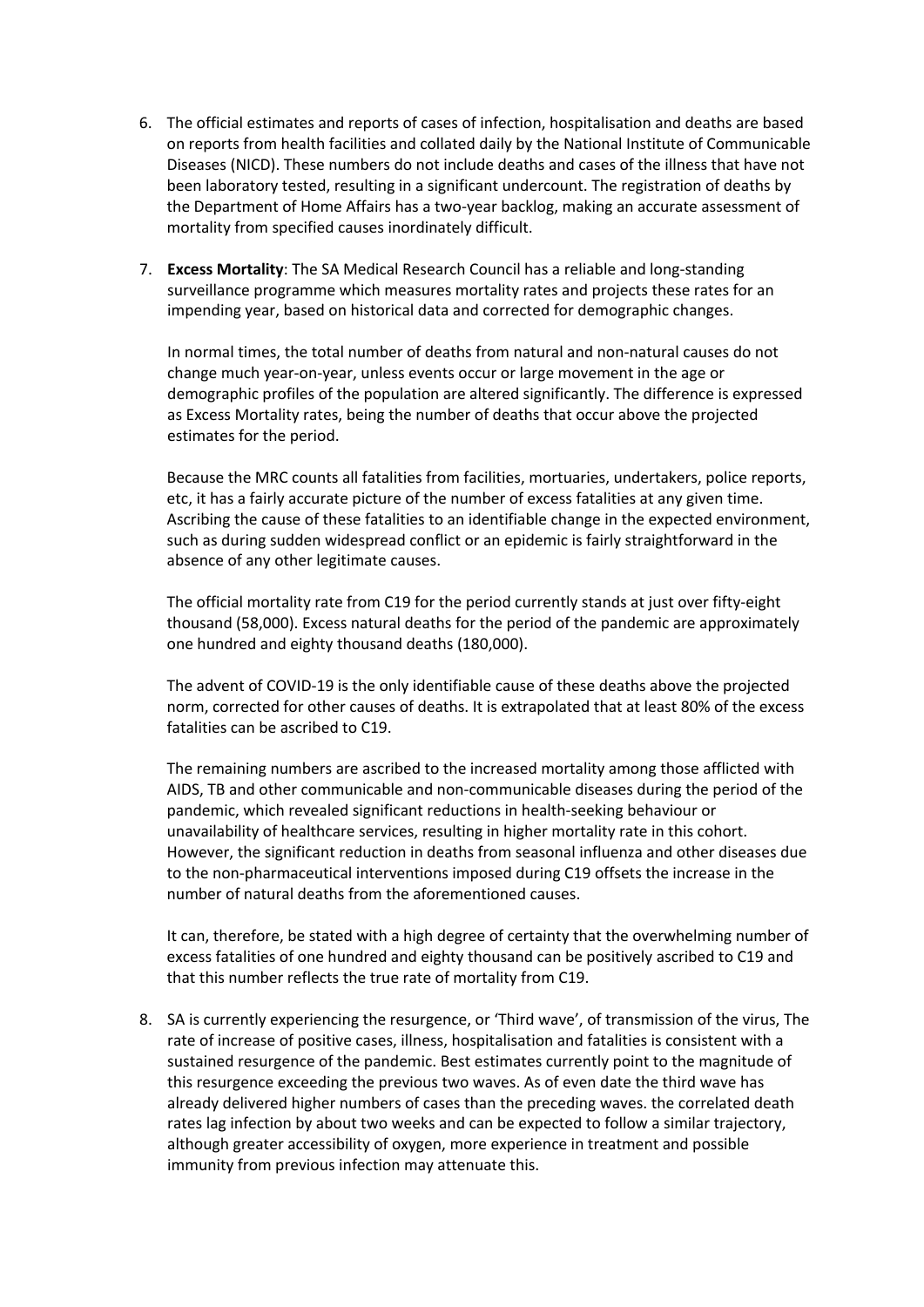- 6. The official estimates and reports of cases of infection, hospitalisation and deaths are based on reports from health facilities and collated daily by the National Institute of Communicable Diseases (NICD). These numbers do not include deaths and cases of the illness that have not been laboratory tested, resulting in a significant undercount. The registration of deaths by the Department of Home Affairs has a two-year backlog, making an accurate assessment of mortality from specified causes inordinately difficult.
- 7. **Excess Mortality**: The SA Medical Research Council has a reliable and long-standing surveillance programme which measures mortality rates and projects these rates for an impending year, based on historical data and corrected for demographic changes.

In normal times, the total number of deaths from natural and non-natural causes do not change much year-on-year, unless events occur or large movement in the age or demographic profiles of the population are altered significantly. The difference is expressed as Excess Mortality rates, being the number of deaths that occur above the projected estimates for the period.

Because the MRC counts all fatalities from facilities, mortuaries, undertakers, police reports, etc, it has a fairly accurate picture of the number of excess fatalities at any given time. Ascribing the cause of these fatalities to an identifiable change in the expected environment, such as during sudden widespread conflict or an epidemic is fairly straightforward in the absence of any other legitimate causes.

The official mortality rate from C19 for the period currently stands at just over fifty-eight thousand (58,000). Excess natural deaths for the period of the pandemic are approximately one hundred and eighty thousand deaths (180,000).

The advent of COVID-19 is the only identifiable cause of these deaths above the projected norm, corrected for other causes of deaths. It is extrapolated that at least 80% of the excess fatalities can be ascribed to C19.

The remaining numbers are ascribed to the increased mortality among those afflicted with AIDS, TB and other communicable and non-communicable diseases during the period of the pandemic, which revealed significant reductions in health-seeking behaviour or unavailability of healthcare services, resulting in higher mortality rate in this cohort. However, the significant reduction in deaths from seasonal influenza and other diseases due to the non-pharmaceutical interventions imposed during C19 offsets the increase in the number of natural deaths from the aforementioned causes.

It can, therefore, be stated with a high degree of certainty that the overwhelming number of excess fatalities of one hundred and eighty thousand can be positively ascribed to C19 and that this number reflects the true rate of mortality from C19.

8. SA is currently experiencing the resurgence, or 'Third wave', of transmission of the virus, The rate of increase of positive cases, illness, hospitalisation and fatalities is consistent with a sustained resurgence of the pandemic. Best estimates currently point to the magnitude of this resurgence exceeding the previous two waves. As of even date the third wave has already delivered higher numbers of cases than the preceding waves. the correlated death rates lag infection by about two weeks and can be expected to follow a similar trajectory, although greater accessibility of oxygen, more experience in treatment and possible immunity from previous infection may attenuate this.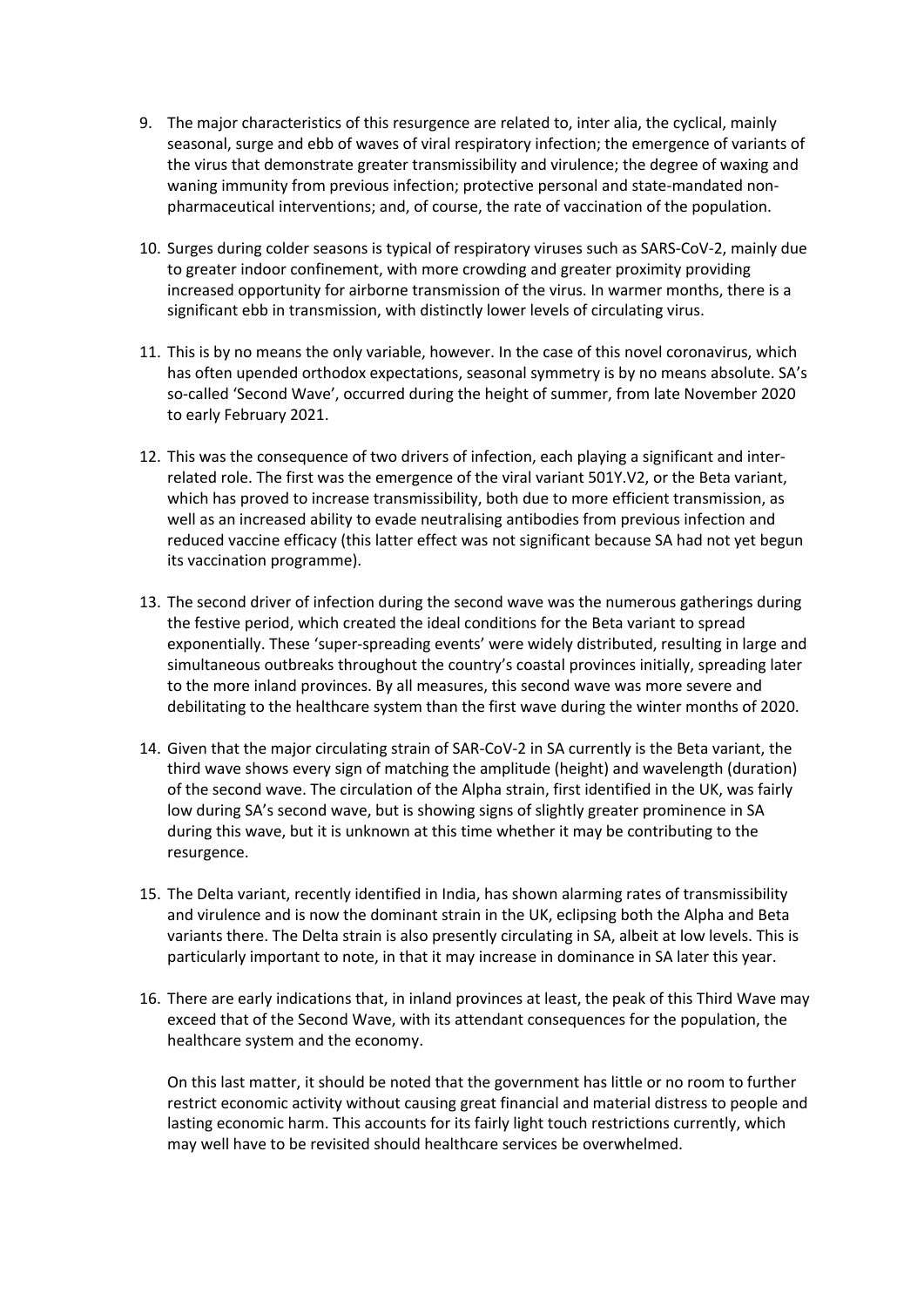- 9. The major characteristics of this resurgence are related to, inter alia, the cyclical, mainly seasonal, surge and ebb of waves of viral respiratory infection; the emergence of variants of the virus that demonstrate greater transmissibility and virulence; the degree of waxing and waning immunity from previous infection; protective personal and state-mandated nonpharmaceutical interventions; and, of course, the rate of vaccination of the population.
- 10. Surges during colder seasons is typical of respiratory viruses such as SARS-CoV-2, mainly due to greater indoor confinement, with more crowding and greater proximity providing increased opportunity for airborne transmission of the virus. In warmer months, there is a significant ebb in transmission, with distinctly lower levels of circulating virus.
- 11. This is by no means the only variable, however. In the case of this novel coronavirus, which has often upended orthodox expectations, seasonal symmetry is by no means absolute. SA's so-called 'Second Wave', occurred during the height of summer, from late November 2020 to early February 2021.
- 12. This was the consequence of two drivers of infection, each playing a significant and interrelated role. The first was the emergence of the viral variant 501Y.V2, or the Beta variant, which has proved to increase transmissibility, both due to more efficient transmission, as well as an increased ability to evade neutralising antibodies from previous infection and reduced vaccine efficacy (this latter effect was not significant because SA had not yet begun its vaccination programme).
- 13. The second driver of infection during the second wave was the numerous gatherings during the festive period, which created the ideal conditions for the Beta variant to spread exponentially. These 'super-spreading events' were widely distributed, resulting in large and simultaneous outbreaks throughout the country's coastal provinces initially, spreading later to the more inland provinces. By all measures, this second wave was more severe and debilitating to the healthcare system than the first wave during the winter months of 2020.
- 14. Given that the major circulating strain of SAR-CoV-2 in SA currently is the Beta variant, the third wave shows every sign of matching the amplitude (height) and wavelength (duration) of the second wave. The circulation of the Alpha strain, first identified in the UK, was fairly low during SA's second wave, but is showing signs of slightly greater prominence in SA during this wave, but it is unknown at this time whether it may be contributing to the resurgence.
- 15. The Delta variant, recently identified in India, has shown alarming rates of transmissibility and virulence and is now the dominant strain in the UK, eclipsing both the Alpha and Beta variants there. The Delta strain is also presently circulating in SA, albeit at low levels. This is particularly important to note, in that it may increase in dominance in SA later this year.
- 16. There are early indications that, in inland provinces at least, the peak of this Third Wave may exceed that of the Second Wave, with its attendant consequences for the population, the healthcare system and the economy.

On this last matter, it should be noted that the government has little or no room to further restrict economic activity without causing great financial and material distress to people and lasting economic harm. This accounts for its fairly light touch restrictions currently, which may well have to be revisited should healthcare services be overwhelmed.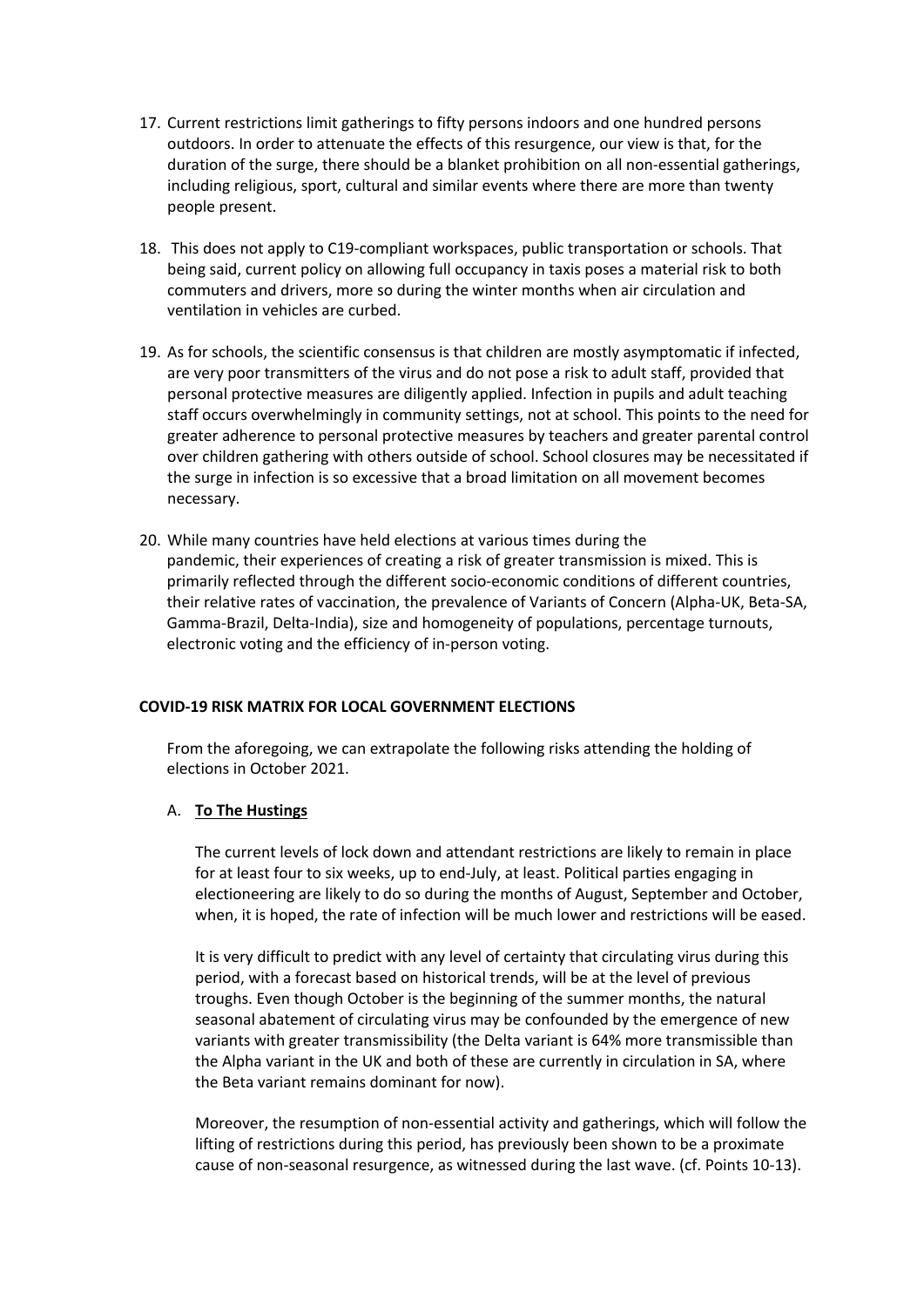- 17. Current restrictions limit gatherings to fifty persons indoors and one hundred persons outdoors. In order to attenuate the effects of this resurgence, our view is that, for the duration of the surge, there should be a blanket prohibition on all non-essential gatherings, including religious, sport, cultural and similar events where there are more than twenty people present.
- 18. This does not apply to C19-compliant workspaces, public transportation or schools. That being said, current policy on allowing full occupancy in taxis poses a material risk to both commuters and drivers, more so during the winter months when air circulation and ventilation in vehicles are curbed.
- 19. As for schools, the scientific consensus is that children are mostly asymptomatic if infected, are very poor transmitters of the virus and do not pose a risk to adult staff, provided that personal protective measures are diligently applied. Infection in pupils and adult teaching staff occurs overwhelmingly in community settings, not at school. This points to the need for greater adherence to personal protective measures by teachers and greater parental control over children gathering with others outside of school. School closures may be necessitated if the surge in infection is so excessive that a broad limitation on all movement becomes necessary.
- 20. While many countries have held elections at various times during the pandemic, their experiences of creating a risk of greater transmission is mixed. This is primarily reflected through the different socio-economic conditions of different countries, their relative rates of vaccination, the prevalence of Variants of Concern (Alpha-UK, Beta-SA, Gamma-Brazil, Delta-India), size and homogeneity of populations, percentage turnouts, electronic voting and the efficiency of in-person voting.

## **COVID-19 RISK MATRIX FOR LOCAL GOVERNMENT ELECTIONS**

From the aforegoing, we can extrapolate the following risks attending the holding of elections in October 2021.

## A. **To The Hustings**

The current levels of lock down and attendant restrictions are likely to remain in place for at least four to six weeks, up to end-July, at least. Political parties engaging in electioneering are likely to do so during the months of August, September and October, when, it is hoped, the rate of infection will be much lower and restrictions will be eased.

It is very difficult to predict with any level of certainty that circulating virus during this period, with a forecast based on historical trends, will be at the level of previous troughs. Even though October is the beginning of the summer months, the natural seasonal abatement of circulating virus may be confounded by the emergence of new variants with greater transmissibility (the Delta variant is 64% more transmissible than the Alpha variant in the UK and both of these are currently in circulation in SA, where the Beta variant remains dominant for now).

Moreover, the resumption of non-essential activity and gatherings, which will follow the lifting of restrictions during this period, has previously been shown to be a proximate cause of non-seasonal resurgence, as witnessed during the last wave. (cf. Points 10-13).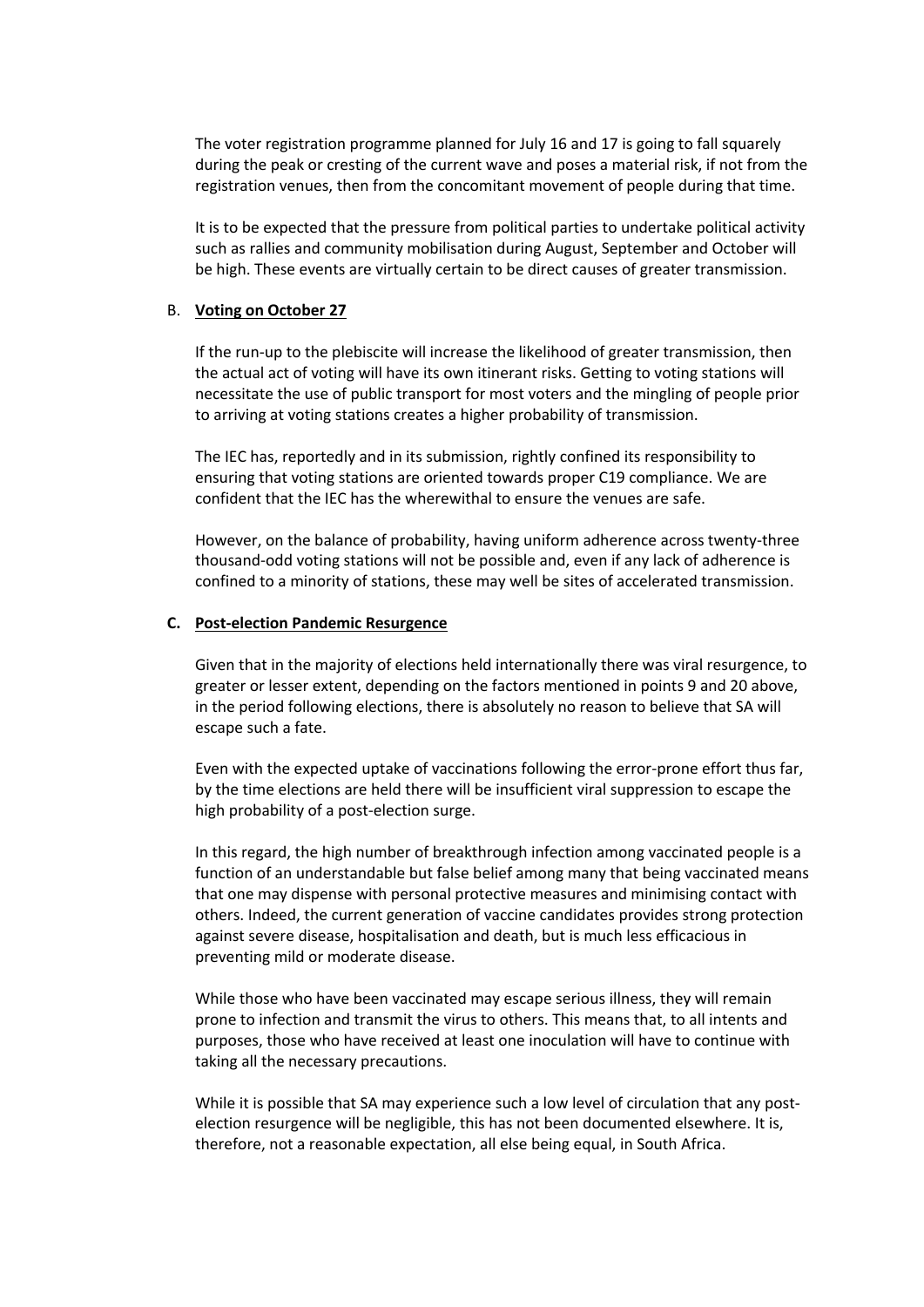The voter registration programme planned for July 16 and 17 is going to fall squarely during the peak or cresting of the current wave and poses a material risk, if not from the registration venues, then from the concomitant movement of people during that time.

It is to be expected that the pressure from political parties to undertake political activity such as rallies and community mobilisation during August, September and October will be high. These events are virtually certain to be direct causes of greater transmission.

#### B. **Voting on October 27**

If the run-up to the plebiscite will increase the likelihood of greater transmission, then the actual act of voting will have its own itinerant risks. Getting to voting stations will necessitate the use of public transport for most voters and the mingling of people prior to arriving at voting stations creates a higher probability of transmission.

The IEC has, reportedly and in its submission, rightly confined its responsibility to ensuring that voting stations are oriented towards proper C19 compliance. We are confident that the IEC has the wherewithal to ensure the venues are safe.

However, on the balance of probability, having uniform adherence across twenty-three thousand-odd voting stations will not be possible and, even if any lack of adherence is confined to a minority of stations, these may well be sites of accelerated transmission.

#### **C. Post-election Pandemic Resurgence**

Given that in the majority of elections held internationally there was viral resurgence, to greater or lesser extent, depending on the factors mentioned in points 9 and 20 above, in the period following elections, there is absolutely no reason to believe that SA will escape such a fate.

Even with the expected uptake of vaccinations following the error-prone effort thus far, by the time elections are held there will be insufficient viral suppression to escape the high probability of a post-election surge.

In this regard, the high number of breakthrough infection among vaccinated people is a function of an understandable but false belief among many that being vaccinated means that one may dispense with personal protective measures and minimising contact with others. Indeed, the current generation of vaccine candidates provides strong protection against severe disease, hospitalisation and death, but is much less efficacious in preventing mild or moderate disease.

While those who have been vaccinated may escape serious illness, they will remain prone to infection and transmit the virus to others. This means that, to all intents and purposes, those who have received at least one inoculation will have to continue with taking all the necessary precautions.

While it is possible that SA may experience such a low level of circulation that any postelection resurgence will be negligible, this has not been documented elsewhere. It is, therefore, not a reasonable expectation, all else being equal, in South Africa.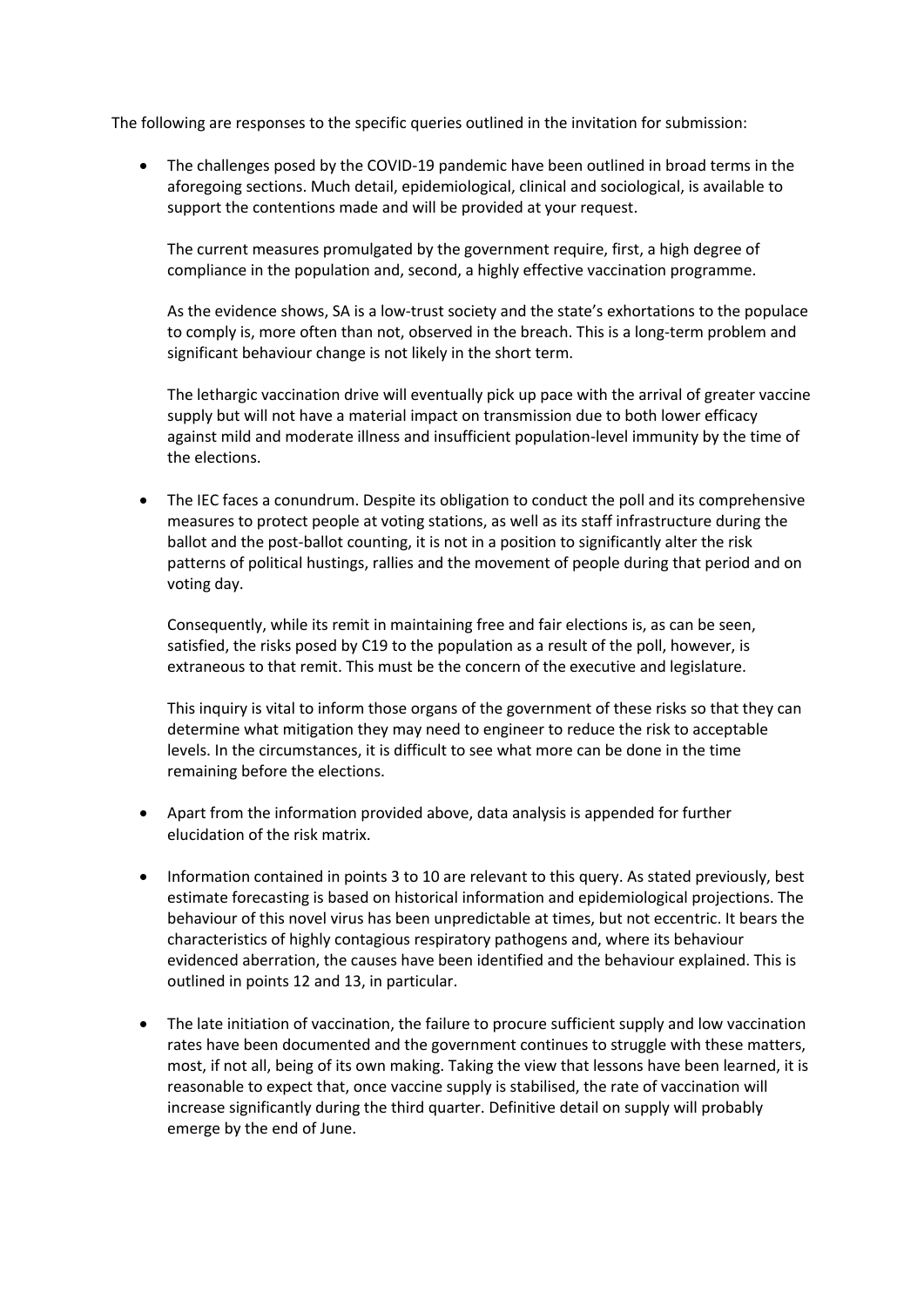The following are responses to the specific queries outlined in the invitation for submission:

• The challenges posed by the COVID-19 pandemic have been outlined in broad terms in the aforegoing sections. Much detail, epidemiological, clinical and sociological, is available to support the contentions made and will be provided at your request.

The current measures promulgated by the government require, first, a high degree of compliance in the population and, second, a highly effective vaccination programme.

As the evidence shows, SA is a low-trust society and the state's exhortations to the populace to comply is, more often than not, observed in the breach. This is a long-term problem and significant behaviour change is not likely in the short term.

The lethargic vaccination drive will eventually pick up pace with the arrival of greater vaccine supply but will not have a material impact on transmission due to both lower efficacy against mild and moderate illness and insufficient population-level immunity by the time of the elections.

• The IEC faces a conundrum. Despite its obligation to conduct the poll and its comprehensive measures to protect people at voting stations, as well as its staff infrastructure during the ballot and the post-ballot counting, it is not in a position to significantly alter the risk patterns of political hustings, rallies and the movement of people during that period and on voting day.

Consequently, while its remit in maintaining free and fair elections is, as can be seen, satisfied, the risks posed by C19 to the population as a result of the poll, however, is extraneous to that remit. This must be the concern of the executive and legislature.

This inquiry is vital to inform those organs of the government of these risks so that they can determine what mitigation they may need to engineer to reduce the risk to acceptable levels. In the circumstances, it is difficult to see what more can be done in the time remaining before the elections.

- Apart from the information provided above, data analysis is appended for further elucidation of the risk matrix.
- Information contained in points 3 to 10 are relevant to this query. As stated previously, best estimate forecasting is based on historical information and epidemiological projections. The behaviour of this novel virus has been unpredictable at times, but not eccentric. It bears the characteristics of highly contagious respiratory pathogens and, where its behaviour evidenced aberration, the causes have been identified and the behaviour explained. This is outlined in points 12 and 13, in particular.
- The late initiation of vaccination, the failure to procure sufficient supply and low vaccination rates have been documented and the government continues to struggle with these matters, most, if not all, being of its own making. Taking the view that lessons have been learned, it is reasonable to expect that, once vaccine supply is stabilised, the rate of vaccination will increase significantly during the third quarter. Definitive detail on supply will probably emerge by the end of June.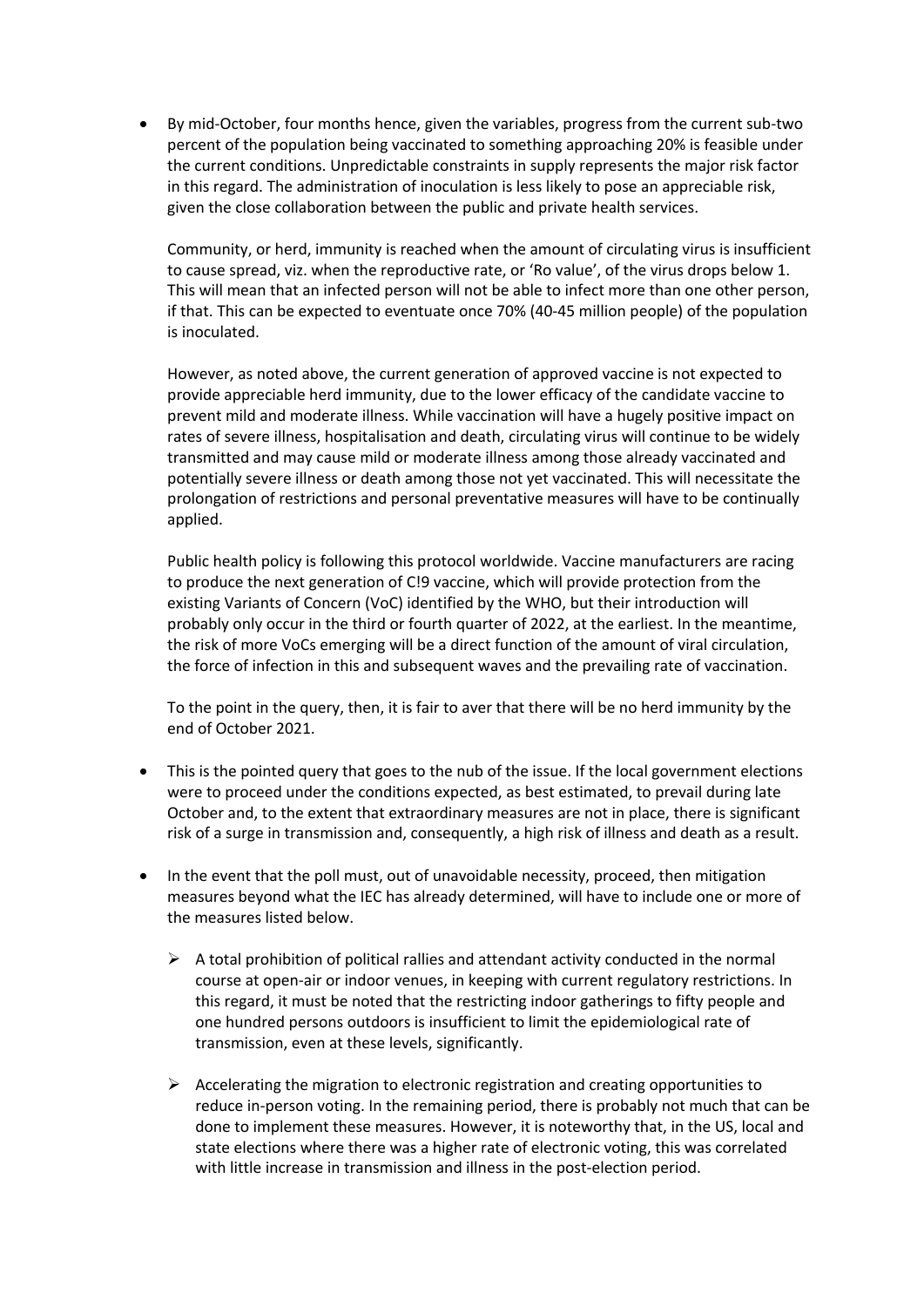• By mid-October, four months hence, given the variables, progress from the current sub-two percent of the population being vaccinated to something approaching 20% is feasible under the current conditions. Unpredictable constraints in supply represents the major risk factor in this regard. The administration of inoculation is less likely to pose an appreciable risk, given the close collaboration between the public and private health services.

Community, or herd, immunity is reached when the amount of circulating virus is insufficient to cause spread, viz. when the reproductive rate, or 'Ro value', of the virus drops below 1. This will mean that an infected person will not be able to infect more than one other person, if that. This can be expected to eventuate once 70% (40-45 million people) of the population is inoculated.

However, as noted above, the current generation of approved vaccine is not expected to provide appreciable herd immunity, due to the lower efficacy of the candidate vaccine to prevent mild and moderate illness. While vaccination will have a hugely positive impact on rates of severe illness, hospitalisation and death, circulating virus will continue to be widely transmitted and may cause mild or moderate illness among those already vaccinated and potentially severe illness or death among those not yet vaccinated. This will necessitate the prolongation of restrictions and personal preventative measures will have to be continually applied.

Public health policy is following this protocol worldwide. Vaccine manufacturers are racing to produce the next generation of C!9 vaccine, which will provide protection from the existing Variants of Concern (VoC) identified by the WHO, but their introduction will probably only occur in the third or fourth quarter of 2022, at the earliest. In the meantime, the risk of more VoCs emerging will be a direct function of the amount of viral circulation, the force of infection in this and subsequent waves and the prevailing rate of vaccination.

To the point in the query, then, it is fair to aver that there will be no herd immunity by the end of October 2021.

- This is the pointed query that goes to the nub of the issue. If the local government elections were to proceed under the conditions expected, as best estimated, to prevail during late October and, to the extent that extraordinary measures are not in place, there is significant risk of a surge in transmission and, consequently, a high risk of illness and death as a result.
- In the event that the poll must, out of unavoidable necessity, proceed, then mitigation measures beyond what the IEC has already determined, will have to include one or more of the measures listed below.
	- $\triangleright$  A total prohibition of political rallies and attendant activity conducted in the normal course at open-air or indoor venues, in keeping with current regulatory restrictions. In this regard, it must be noted that the restricting indoor gatherings to fifty people and one hundred persons outdoors is insufficient to limit the epidemiological rate of transmission, even at these levels, significantly.
	- $\triangleright$  Accelerating the migration to electronic registration and creating opportunities to reduce in-person voting. In the remaining period, there is probably not much that can be done to implement these measures. However, it is noteworthy that, in the US, local and state elections where there was a higher rate of electronic voting, this was correlated with little increase in transmission and illness in the post-election period.